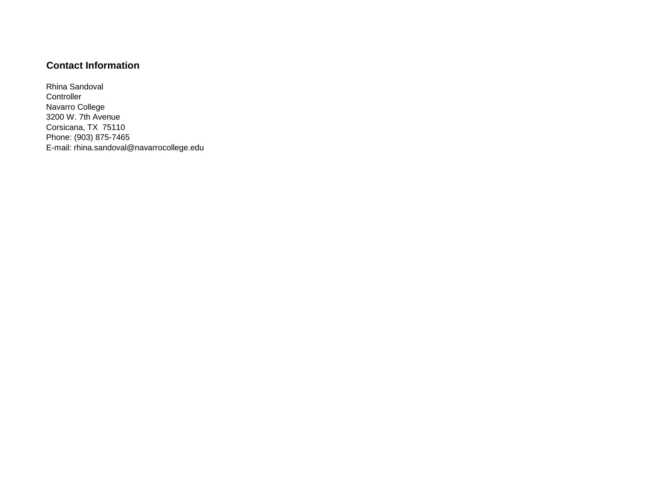## **Contact Information**

Rhina Sandoval **Controller** Navarro College 3200 W. 7th Avenue Corsicana, TX 75110 Phone: (903) 875-7465 E-mail: rhina.sandoval@navarrocollege.edu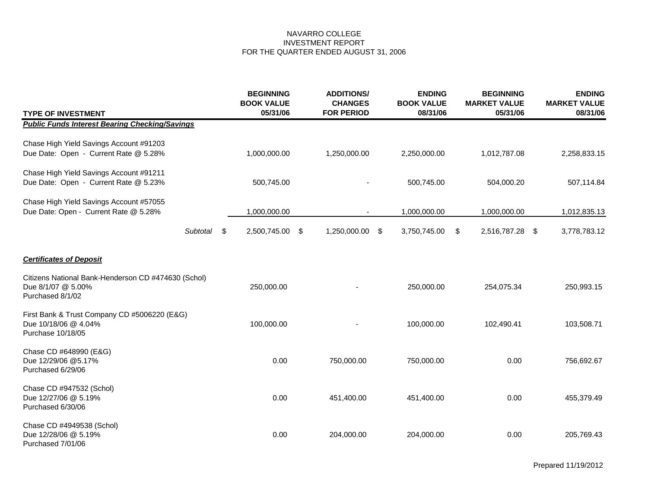| <b>TYPE OF INVESTMENT</b>                                                                     |      | <b>BEGINNING</b><br><b>BOOK VALUE</b><br>05/31/06 | <b>ADDITIONS/</b><br><b>CHANGES</b><br><b>FOR PERIOD</b> | <b>ENDING</b><br><b>BOOK VALUE</b><br>08/31/06 | <b>BEGINNING</b><br><b>MARKET VALUE</b><br>05/31/06 | <b>ENDING</b><br><b>MARKET VALUE</b><br>08/31/06 |
|-----------------------------------------------------------------------------------------------|------|---------------------------------------------------|----------------------------------------------------------|------------------------------------------------|-----------------------------------------------------|--------------------------------------------------|
| <b>Public Funds Interest Bearing Checking/Savings</b>                                         |      |                                                   |                                                          |                                                |                                                     |                                                  |
| Chase High Yield Savings Account #91203<br>Due Date: Open - Current Rate @ 5.28%              |      | 1,000,000.00                                      | 1,250,000.00                                             | 2,250,000.00                                   | 1,012,787.08                                        | 2,258,833.15                                     |
| Chase High Yield Savings Account #91211<br>Due Date: Open - Current Rate @ 5.23%              |      | 500,745.00                                        |                                                          | 500,745.00                                     | 504,000.20                                          | 507,114.84                                       |
| Chase High Yield Savings Account #57055<br>Due Date: Open - Current Rate @ 5.28%              |      | 1,000,000.00                                      |                                                          | 1,000,000.00                                   | 1,000,000.00                                        | 1,012,835.13                                     |
| Subtotal                                                                                      | - \$ | 2,500,745.00 \$                                   | 1,250,000.00 \$                                          | 3,750,745.00                                   | \$<br>2,516,787.28 \$                               | 3,778,783.12                                     |
| <b>Certificates of Deposit</b>                                                                |      |                                                   |                                                          |                                                |                                                     |                                                  |
| Citizens National Bank-Henderson CD #474630 (Schol)<br>Due 8/1/07 @ 5.00%<br>Purchased 8/1/02 |      | 250,000.00                                        |                                                          | 250,000.00                                     | 254,075.34                                          | 250,993.15                                       |
| First Bank & Trust Company CD #5006220 (E&G)<br>Due 10/18/06 @ 4.04%<br>Purchase 10/18/05     |      | 100,000.00                                        |                                                          | 100,000.00                                     | 102,490.41                                          | 103,508.71                                       |
| Chase CD #648990 (E&G)<br>Due 12/29/06 @5.17%<br>Purchased 6/29/06                            |      | 0.00                                              | 750,000.00                                               | 750,000.00                                     | 0.00                                                | 756,692.67                                       |
| Chase CD #947532 (Schol)<br>Due 12/27/06 @ 5.19%<br>Purchased 6/30/06                         |      | 0.00                                              | 451,400.00                                               | 451,400.00                                     | 0.00                                                | 455,379.49                                       |
| Chase CD #4949538 (Schol)<br>Due 12/28/06 @ 5.19%<br>Purchased 7/01/06                        |      | 0.00                                              | 204,000.00                                               | 204,000.00                                     | 0.00                                                | 205,769.43                                       |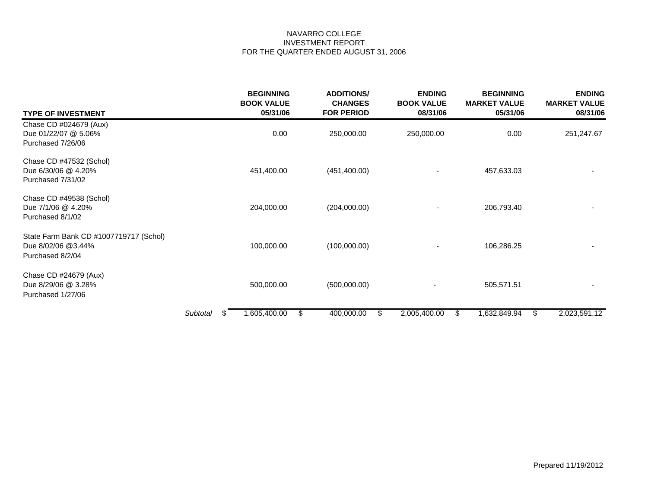| <b>TYPE OF INVESTMENT</b>                                                        |          |     | <b>BEGINNING</b><br><b>BOOK VALUE</b><br>05/31/06 | <b>ADDITIONS/</b><br><b>CHANGES</b><br><b>FOR PERIOD</b> |    | <b>ENDING</b><br><b>BOOK VALUE</b><br>08/31/06 | <b>BEGINNING</b><br><b>MARKET VALUE</b><br>05/31/06 | <b>ENDING</b><br><b>MARKET VALUE</b><br>08/31/06 |
|----------------------------------------------------------------------------------|----------|-----|---------------------------------------------------|----------------------------------------------------------|----|------------------------------------------------|-----------------------------------------------------|--------------------------------------------------|
| Chase CD #024679 (Aux)<br>Due 01/22/07 @ 5.06%<br>Purchased 7/26/06              |          |     | 0.00                                              | 250,000.00                                               |    | 250,000.00                                     | 0.00                                                | 251,247.67                                       |
| Chase CD #47532 (Schol)<br>Due 6/30/06 @ 4.20%<br>Purchased 7/31/02              |          |     | 451,400.00                                        | (451, 400.00)                                            |    |                                                | 457,633.03                                          |                                                  |
| Chase CD #49538 (Schol)<br>Due 7/1/06 @ 4.20%<br>Purchased 8/1/02                |          |     | 204,000.00                                        | (204,000.00)                                             |    |                                                | 206,793.40                                          |                                                  |
| State Farm Bank CD #1007719717 (Schol)<br>Due 8/02/06 @3.44%<br>Purchased 8/2/04 |          |     | 100,000.00                                        | (100,000.00)                                             |    |                                                | 106,286.25                                          |                                                  |
| Chase CD #24679 (Aux)<br>Due 8/29/06 @ 3.28%<br>Purchased 1/27/06                |          |     | 500,000.00                                        | (500,000.00)                                             |    |                                                | 505,571.51                                          |                                                  |
|                                                                                  | Subtotal | -86 | 1,605,400.00                                      | \$<br>400,000.00                                         | S. | 2,005,400.00                                   | 1,632,849.94<br>\$                                  | 2,023,591.12<br>\$                               |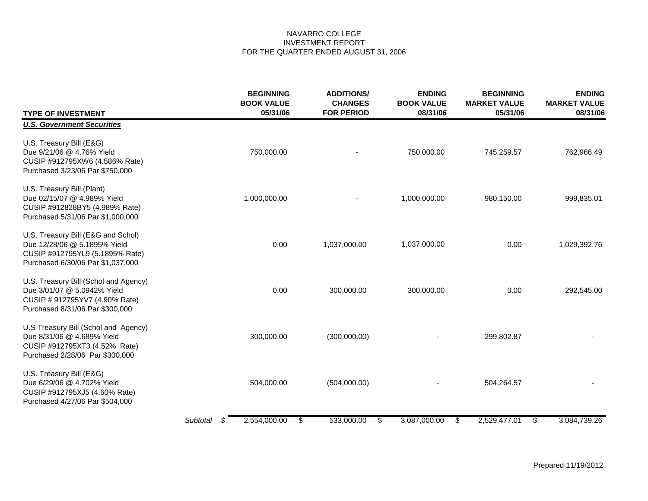| <b>TYPE OF INVESTMENT</b>                                                                                                                  |               | <b>BEGINNING</b><br><b>BOOK VALUE</b><br>05/31/06 | <b>ADDITIONS/</b><br><b>CHANGES</b><br><b>FOR PERIOD</b> | <b>ENDING</b><br><b>BOOK VALUE</b><br>08/31/06 | <b>BEGINNING</b><br><b>MARKET VALUE</b><br>05/31/06 | <b>ENDING</b><br><b>MARKET VALUE</b><br>08/31/06 |
|--------------------------------------------------------------------------------------------------------------------------------------------|---------------|---------------------------------------------------|----------------------------------------------------------|------------------------------------------------|-----------------------------------------------------|--------------------------------------------------|
| <b>U.S. Government Securities</b>                                                                                                          |               |                                                   |                                                          |                                                |                                                     |                                                  |
| U.S. Treasury Bill (E&G)<br>Due 9/21/06 @ 4.76% Yield<br>CUSIP #912795XW6 (4.586% Rate)<br>Purchased 3/23/06 Par \$750,000                 |               | 750,000.00                                        |                                                          | 750,000.00                                     | 745,259.57                                          | 762,966.49                                       |
| U.S. Treasury Bill (Plant)<br>Due 02/15/07 @ 4.989% Yield<br>CUSIP #912828BY5 (4.989% Rate)<br>Purchased 5/31/06 Par \$1,000,000           |               | 1,000,000.00                                      |                                                          | 1,000,000.00                                   | 980,150.00                                          | 999,835.01                                       |
| U.S. Treasury Bill (E&G and Schol)<br>Due 12/28/06 @ 5.1895% Yield<br>CUSIP #912795YL9 (5.1895% Rate)<br>Purchased 6/30/06 Par \$1,037,000 |               | 0.00                                              | 1,037,000.00                                             | 1,037,000.00                                   | 0.00                                                | 1,029,392.76                                     |
| U.S. Treasury Bill (Schol and Agency)<br>Due 3/01/07 @ 5.0942% Yield<br>CUSIP # 912795YV7 (4.90% Rate)<br>Purchased 8/31/06 Par \$300,000  |               | 0.00                                              | 300,000.00                                               | 300,000.00                                     | 0.00                                                | 292,545.00                                       |
| U.S Treasury Bill (Schol and Agency)<br>Due 8/31/06 @ 4.689% Yield<br>CUSIP #912795XT3 (4.52% Rate)<br>Purchased 2/28/06 Par \$300,000     |               | 300,000.00                                        | (300,000.00)                                             |                                                | 299,802.87                                          |                                                  |
| U.S. Treasury Bill (E&G)<br>Due 6/29/06 @ 4.702% Yield<br>CUSIP #912795XJ5 (4.60% Rate)<br>Purchased 4/27/06 Par \$504,000                 |               | 504,000.00                                        | (504,000.00)                                             |                                                | 504,264.57                                          |                                                  |
|                                                                                                                                            | Subtotal<br>S | 2,554,000.00                                      | \$<br>533,000.00                                         | \$<br>3,087,000.00                             | \$<br>2,529,477.01                                  | \$<br>3,084,739.26                               |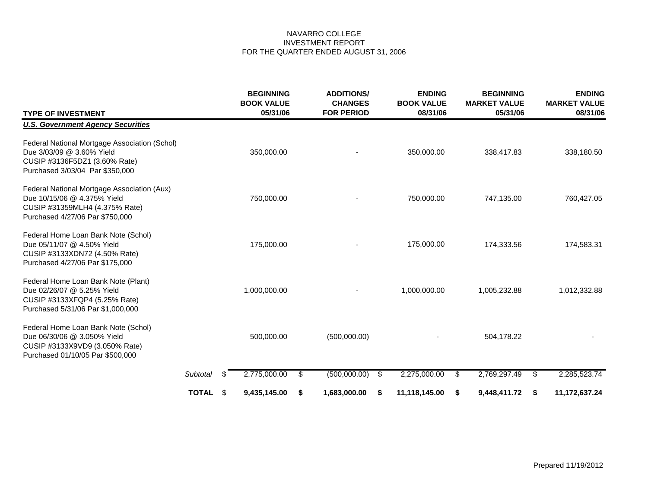| <b>TYPE OF INVESTMENT</b>                                                                                                                       |              |     | <b>BEGINNING</b><br><b>BOOK VALUE</b><br>05/31/06 |    | <b>ADDITIONS/</b><br><b>CHANGES</b><br><b>FOR PERIOD</b> |    | <b>ENDING</b><br><b>BOOK VALUE</b><br>08/31/06 | <b>BEGINNING</b><br><b>MARKET VALUE</b><br>05/31/06 |    | <b>ENDING</b><br><b>MARKET VALUE</b><br>08/31/06 |
|-------------------------------------------------------------------------------------------------------------------------------------------------|--------------|-----|---------------------------------------------------|----|----------------------------------------------------------|----|------------------------------------------------|-----------------------------------------------------|----|--------------------------------------------------|
| <b>U.S. Government Agency Securities</b>                                                                                                        |              |     |                                                   |    |                                                          |    |                                                |                                                     |    |                                                  |
| Federal National Mortgage Association (Schol)<br>Due 3/03/09 @ 3.60% Yield<br>CUSIP #3136F5DZ1 (3.60% Rate)<br>Purchased 3/03/04 Par \$350,000  |              |     | 350,000.00                                        |    |                                                          |    | 350,000.00                                     | 338,417.83                                          |    | 338,180.50                                       |
| Federal National Mortgage Association (Aux)<br>Due 10/15/06 @ 4.375% Yield<br>CUSIP #31359MLH4 (4.375% Rate)<br>Purchased 4/27/06 Par \$750,000 |              |     | 750,000.00                                        |    |                                                          |    | 750,000.00                                     | 747,135.00                                          |    | 760,427.05                                       |
| Federal Home Loan Bank Note (Schol)<br>Due 05/11/07 @ 4.50% Yield<br>CUSIP #3133XDN72 (4.50% Rate)<br>Purchased 4/27/06 Par \$175,000           |              |     | 175,000.00                                        |    |                                                          |    | 175,000.00                                     | 174,333.56                                          |    | 174,583.31                                       |
| Federal Home Loan Bank Note (Plant)<br>Due 02/26/07 @ 5.25% Yield<br>CUSIP #3133XFQP4 (5.25% Rate)<br>Purchased 5/31/06 Par \$1,000,000         |              |     | 1,000,000.00                                      |    |                                                          |    | 1,000,000.00                                   | 1,005,232.88                                        |    | 1,012,332.88                                     |
| Federal Home Loan Bank Note (Schol)<br>Due 06/30/06 @ 3.050% Yield<br>CUSIP #3133X9VD9 (3.050% Rate)<br>Purchased 01/10/05 Par \$500,000        |              |     | 500,000.00                                        |    | (500,000.00)                                             |    |                                                | 504,178.22                                          |    |                                                  |
|                                                                                                                                                 | Subtotal     | \$  | 2,775,000.00                                      | \$ | (500,000.00)                                             | \$ | 2,275,000.00                                   | \$<br>2,769,297.49                                  | \$ | 2,285,523.74                                     |
|                                                                                                                                                 | <b>TOTAL</b> | -\$ | 9,435,145.00                                      | S. | 1,683,000.00                                             | S  | 11,118,145.00                                  | 9,448,411.72<br>-S                                  | -S | 11,172,637.24                                    |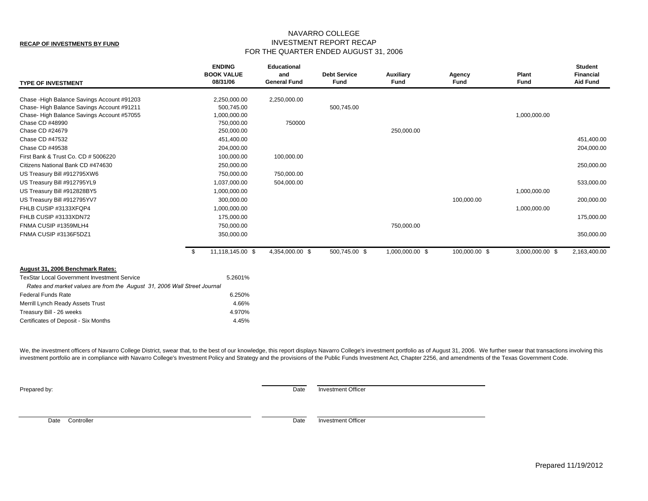#### **RECAP OF INVESTMENTS BY FUND**

#### NAVARRO COLLEGE INVESTMENT REPORT RECAP FOR THE QUARTER ENDED AUGUST 31, 2006

| <b>TYPE OF INVESTMENT</b>                                                                                                             | <b>ENDING</b><br><b>BOOK VALUE</b><br>08/31/06 | <b>Educational</b><br>and<br><b>General Fund</b> | <b>Debt Service</b><br><b>Fund</b> | <b>Auxiliary</b><br>Fund | Agency<br>Fund | Plant<br>Fund   | <b>Student</b><br><b>Financial</b><br><b>Aid Fund</b> |
|---------------------------------------------------------------------------------------------------------------------------------------|------------------------------------------------|--------------------------------------------------|------------------------------------|--------------------------|----------------|-----------------|-------------------------------------------------------|
| Chase - High Balance Savings Account #91203<br>Chase-High Balance Savings Account #91211<br>Chase-High Balance Savings Account #57055 | 2,250,000.00<br>500,745.00<br>1,000,000.00     | 2,250,000.00                                     | 500,745.00                         |                          |                | 1,000,000.00    |                                                       |
| Chase CD #48990<br>Chase CD #24679                                                                                                    | 750,000.00<br>250,000.00                       | 750000                                           |                                    | 250,000.00               |                |                 |                                                       |
| Chase CD #47532<br>Chase CD #49538                                                                                                    | 451,400.00<br>204,000.00                       |                                                  |                                    |                          |                |                 | 451,400.00<br>204,000.00                              |
| First Bank & Trust Co. CD # 5006220<br>Citizens National Bank CD #474630                                                              | 100,000.00<br>250,000.00                       | 100,000.00                                       |                                    |                          |                |                 | 250,000.00                                            |
| US Treasury Bill #912795XW6<br>US Treasury Bill #912795YL9                                                                            | 750,000.00<br>1,037,000.00                     | 750,000.00<br>504,000.00                         |                                    |                          |                |                 | 533,000.00                                            |
| US Treasury Bill #912828BY5<br>US Treasury Bill #912795YV7                                                                            | 1,000,000.00<br>300,000.00                     |                                                  |                                    |                          | 100,000.00     | 1,000,000.00    | 200,000.00                                            |
| FHLB CUSIP #3133XFQP4<br>FHLB CUSIP #3133XDN72                                                                                        | 1,000,000.00<br>175,000.00                     |                                                  |                                    |                          |                | 1,000,000.00    | 175,000.00                                            |
| FNMA CUSIP #1359MLH4<br>FNMA CUSIP #3136F5DZ1                                                                                         | 750,000.00<br>350,000.00                       |                                                  |                                    | 750,000.00               |                |                 | 350,000.00                                            |
|                                                                                                                                       | \$<br>11,118,145.00 \$                         | 4,354,000.00 \$                                  | 500,745.00 \$                      | 1,000,000.00 \$          | 100,000.00 \$  | 3,000,000.00 \$ | 2,163,400.00                                          |
| August 31, 2006 Benchmark Rates:                                                                                                      |                                                |                                                  |                                    |                          |                |                 |                                                       |
| <b>TexStar Local Government Investment Service</b>                                                                                    | 5.2601%                                        |                                                  |                                    |                          |                |                 |                                                       |
| Rates and market values are from the August 31, 2006 Wall Street Journal                                                              |                                                |                                                  |                                    |                          |                |                 |                                                       |
| <b>Federal Funds Rate</b>                                                                                                             | 6.250%                                         |                                                  |                                    |                          |                |                 |                                                       |
| Merrill Lynch Ready Assets Trust                                                                                                      | 4.66%                                          |                                                  |                                    |                          |                |                 |                                                       |
| Treasury Bill - 26 weeks                                                                                                              | 4.970%                                         |                                                  |                                    |                          |                |                 |                                                       |
| Certificates of Deposit - Six Months                                                                                                  | 4.45%                                          |                                                  |                                    |                          |                |                 |                                                       |

We, the investment officers of Navarro College District, swear that, to the best of our knowledge, this report displays Navarro College's investment portfolio as of August 31, 2006. We further swear that transactions invol investment portfolio are in compliance with Navarro College's Investment Policy and Strategy and the provisions of the Public Funds Investment Act, Chapter 2256, and amendments of the Texas Government Code.

**Prepared by:** Date Investment Officer

Date Controller **Date** Investment Officer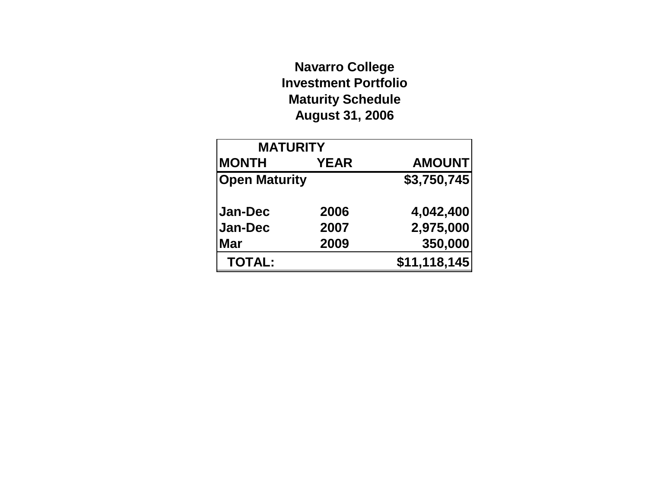# **Navarro College Investment Portfolio Maturity Schedule August 31, 2006**

| <b>MATURITY</b>      |             |               |  |  |  |  |  |
|----------------------|-------------|---------------|--|--|--|--|--|
| <b>MONTH</b>         | <b>YEAR</b> | <b>AMOUNT</b> |  |  |  |  |  |
| <b>Open Maturity</b> |             | \$3,750,745   |  |  |  |  |  |
| <b>Jan-Dec</b>       | 2006        | 4,042,400     |  |  |  |  |  |
| Jan-Dec              | 2007        | 2,975,000     |  |  |  |  |  |
| <b>Mar</b>           | 2009        | 350,000       |  |  |  |  |  |
| <b>TOTAL:</b>        |             | \$11,118,145  |  |  |  |  |  |